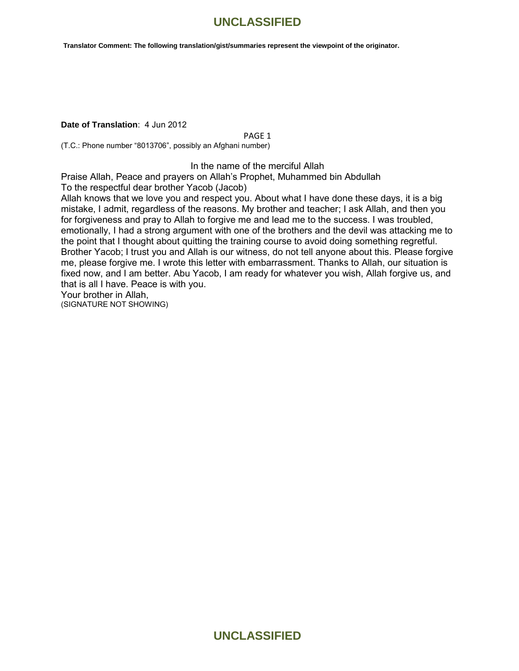**Translator Comment: The following translation/gist/summaries represent the viewpoint of the originator.**

#### **Date of Translation**: 4 Jun 2012

PAGE 1

(T.C.: Phone number "8013706", possibly an Afghani number)

#### In the name of the merciful Allah

Praise Allah, Peace and prayers on Allah's Prophet, Muhammed bin Abdullah To the respectful dear brother Yacob (Jacob)

Allah knows that we love you and respect you. About what I have done these days, it is a big mistake, I admit, regardless of the reasons. My brother and teacher; I ask Allah, and then you for forgiveness and pray to Allah to forgive me and lead me to the success. I was troubled, emotionally, I had a strong argument with one of the brothers and the devil was attacking me to the point that I thought about quitting the training course to avoid doing something regretful. Brother Yacob; I trust you and Allah is our witness, do not tell anyone about this. Please forgive me, please forgive me. I wrote this letter with embarrassment. Thanks to Allah, our situation is fixed now, and I am better. Abu Yacob, I am ready for whatever you wish, Allah forgive us, and that is all I have. Peace is with you. Your brother in Allah, (SIGNATURE NOT SHOWING)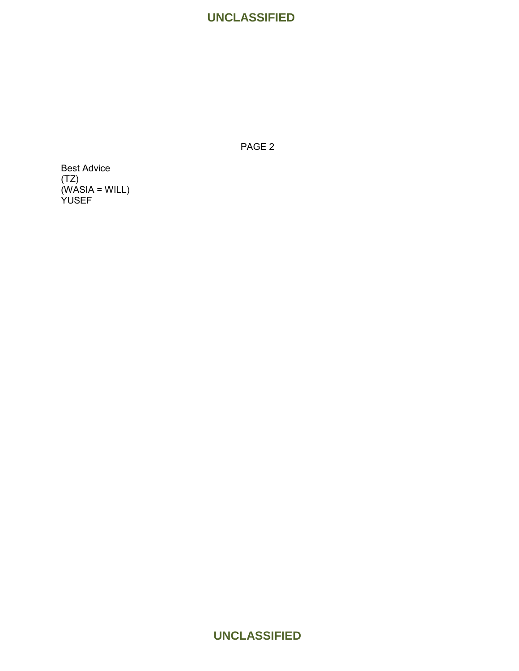PAGE 2

Best Advice (TZ) (WASIA = WILL) YUSEF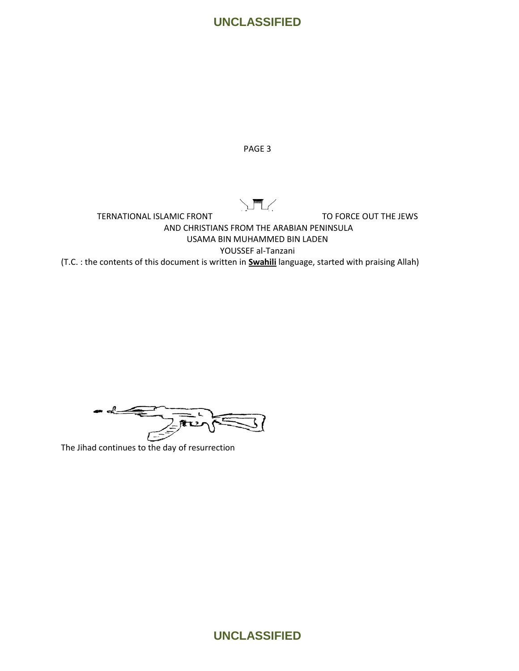

PAGE 3

 $\sqrt{2}$ 

TERNATIONAL ISLAMIC FRONT TO FORCE OUT THE JEWS AND CHRISTIANS FROM THE ARABIAN PENINSULA USAMA BIN MUHAMMED BIN LADEN YOUSSEF al-Tanzani (T.C. : the contents of this document is written in **Swahili** language, started with praising Allah)

The Jihad continues to the day of resurrection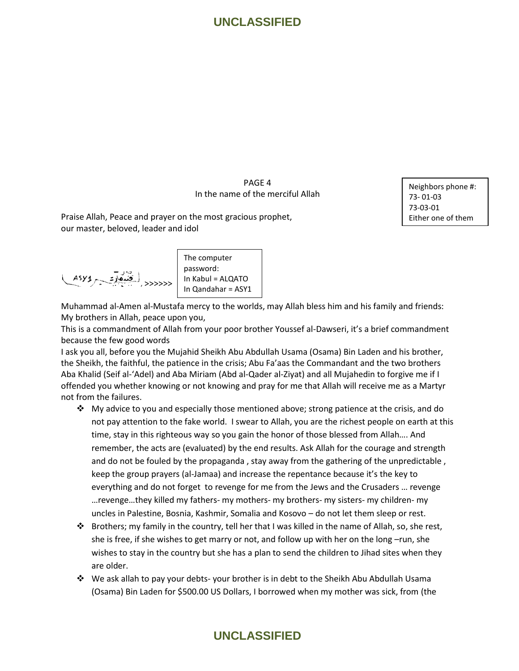PAGE 4 In the name of the merciful Allah

Praise Allah, Peace and prayer on the most gracious prophet, our master, beloved, leader and idol

Neighbors phone #: 73- 01-03 73-03-01 Either one of them

>>>>>>

The computer password: In Kabul = ALQATO In Qandahar = ASY1

Muhammad al-Amen al-Mustafa mercy to the worlds, may Allah bless him and his family and friends: My brothers in Allah, peace upon you,

This is a commandment of Allah from your poor brother Youssef al-Dawseri, it's a brief commandment because the few good words

I ask you all, before you the Mujahid Sheikh Abu Abdullah Usama (Osama) Bin Laden and his brother, the Sheikh, the faithful, the patience in the crisis; Abu Fa'aas the Commandant and the two brothers Aba Khalid (Seif al-'Adel) and Aba Miriam (Abd al-Qader al-Ziyat) and all Mujahedin to forgive me if I offended you whether knowing or not knowing and pray for me that Allah will receive me as a Martyr not from the failures.

- $\clubsuit$  My advice to you and especially those mentioned above; strong patience at the crisis, and do not pay attention to the fake world. I swear to Allah, you are the richest people on earth at this time, stay in this righteous way so you gain the honor of those blessed from Allah…. And remember, the acts are (evaluated) by the end results. Ask Allah for the courage and strength and do not be fouled by the propaganda , stay away from the gathering of the unpredictable , keep the group prayers (al-Jamaa) and increase the repentance because it's the key to everything and do not forget to revenge for me from the Jews and the Crusaders … revenge …revenge…they killed my fathers- my mothers- my brothers- my sisters- my children- my uncles in Palestine, Bosnia, Kashmir, Somalia and Kosovo – do not let them sleep or rest.
- Brothers; my family in the country, tell her that I was killed in the name of Allah, so, she rest, she is free, if she wishes to get marry or not, and follow up with her on the long –run, she wishes to stay in the country but she has a plan to send the children to Jihad sites when they are older.
- We ask allah to pay your debts- your brother is in debt to the Sheikh Abu Abdullah Usama (Osama) Bin Laden for \$500.00 US Dollars, I borrowed when my mother was sick, from (the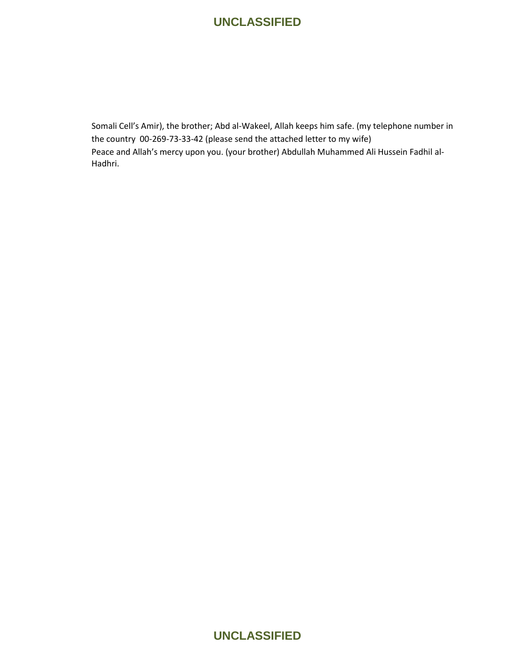Somali Cell's Amir), the brother; Abd al-Wakeel, Allah keeps him safe. (my telephone number in the country 00-269-73-33-42 (please send the attached letter to my wife) Peace and Allah's mercy upon you. (your brother) Abdullah Muhammed Ali Hussein Fadhil al-Hadhri.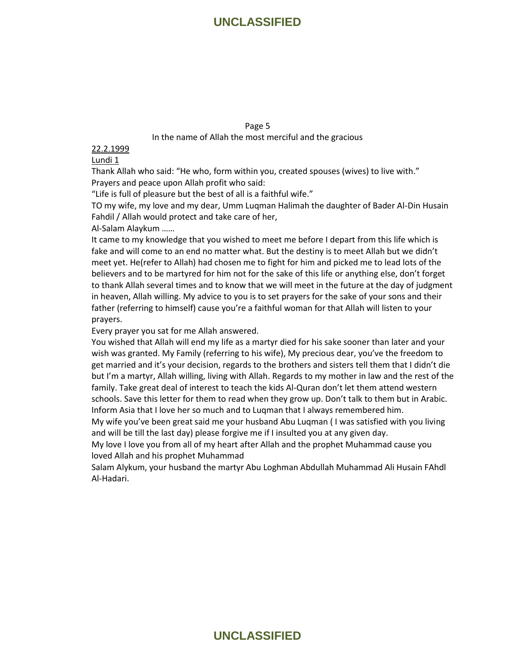#### Page 5

In the name of Allah the most merciful and the gracious

#### 22.2.1999

#### Lundi 1

Thank Allah who said: "He who, form within you, created spouses (wives) to live with." Prayers and peace upon Allah profit who said:

"Life is full of pleasure but the best of all is a faithful wife."

TO my wife, my love and my dear, Umm Luqman Halimah the daughter of Bader Al-Din Husain Fahdil / Allah would protect and take care of her,

Al-Salam Alaykum ……

It came to my knowledge that you wished to meet me before I depart from this life which is fake and will come to an end no matter what. But the destiny is to meet Allah but we didn't meet yet. He(refer to Allah) had chosen me to fight for him and picked me to lead lots of the believers and to be martyred for him not for the sake of this life or anything else, don't forget to thank Allah several times and to know that we will meet in the future at the day of judgment in heaven, Allah willing. My advice to you is to set prayers for the sake of your sons and their father (referring to himself) cause you're a faithful woman for that Allah will listen to your prayers.

Every prayer you sat for me Allah answered.

You wished that Allah will end my life as a martyr died for his sake sooner than later and your wish was granted. My Family (referring to his wife), My precious dear, you've the freedom to get married and it's your decision, regards to the brothers and sisters tell them that I didn't die but I'm a martyr, Allah willing, living with Allah. Regards to my mother in law and the rest of the family. Take great deal of interest to teach the kids Al-Quran don't let them attend western schools. Save this letter for them to read when they grow up. Don't talk to them but in Arabic. Inform Asia that I love her so much and to Luqman that I always remembered him.

My wife you've been great said me your husband Abu Luqman ( I was satisfied with you living and will be till the last day) please forgive me if I insulted you at any given day.

My love I love you from all of my heart after Allah and the prophet Muhammad cause you loved Allah and his prophet Muhammad

Salam Alykum, your husband the martyr Abu Loghman Abdullah Muhammad Ali Husain FAhdl Al-Hadari.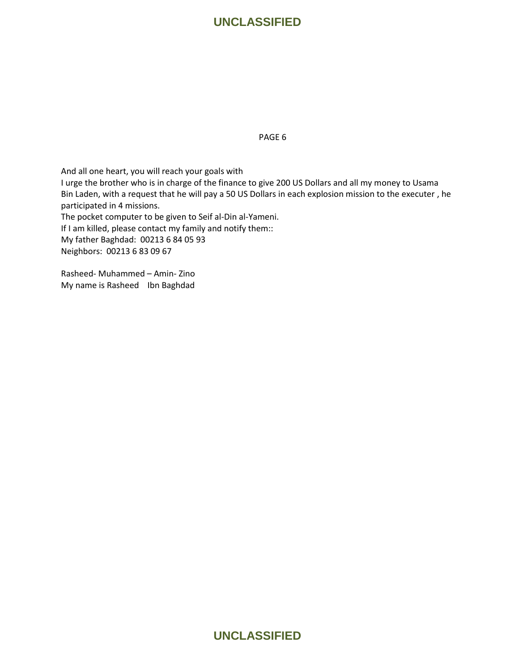PAGE 6

And all one heart, you will reach your goals with

I urge the brother who is in charge of the finance to give 200 US Dollars and all my money to Usama Bin Laden, with a request that he will pay a 50 US Dollars in each explosion mission to the executer , he participated in 4 missions.

The pocket computer to be given to Seif al-Din al-Yameni.

If I am killed, please contact my family and notify them::

My father Baghdad: 00213 6 84 05 93 Neighbors: 00213 6 83 09 67

Rasheed- Muhammed – Amin- Zino My name is Rasheed Ibn Baghdad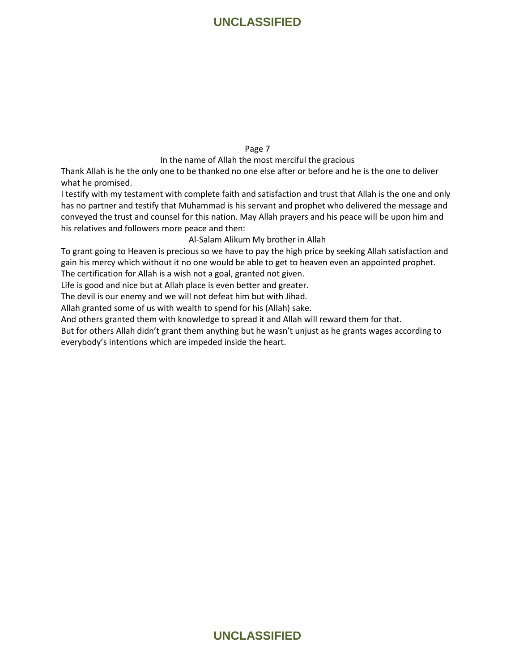Page 7

In the name of Allah the most merciful the gracious

Thank Allah is he the only one to be thanked no one else after or before and he is the one to deliver what he promised.

I testify with my testament with complete faith and satisfaction and trust that Allah is the one and only has no partner and testify that Muhammad is his servant and prophet who delivered the message and conveyed the trust and counsel for this nation. May Allah prayers and his peace will be upon him and his relatives and followers more peace and then:

Al-Salam Alikum My brother in Allah

To grant going to Heaven is precious so we have to pay the high price by seeking Allah satisfaction and gain his mercy which without it no one would be able to get to heaven even an appointed prophet.

The certification for Allah is a wish not a goal, granted not given.

Life is good and nice but at Allah place is even better and greater.

The devil is our enemy and we will not defeat him but with Jihad.

Allah granted some of us with wealth to spend for his (Allah) sake.

And others granted them with knowledge to spread it and Allah will reward them for that.

But for others Allah didn't grant them anything but he wasn't unjust as he grants wages according to everybody's intentions which are impeded inside the heart.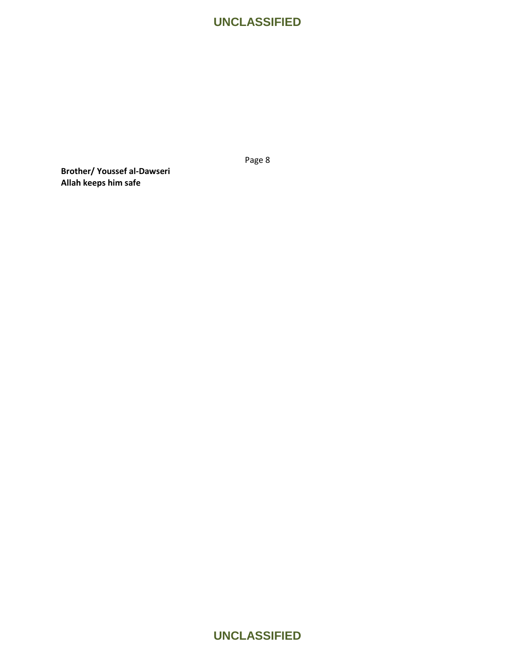Page 8

**Brother/ Youssef al-Dawseri Allah keeps him safe**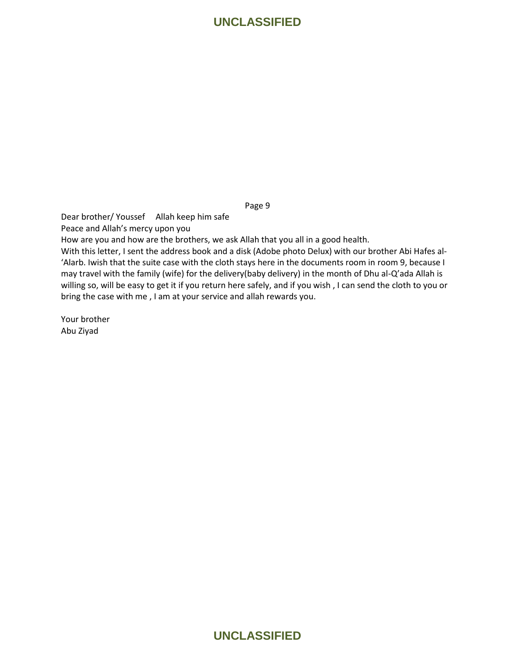Page 9

Dear brother/ Youssef Allah keep him safe

Peace and Allah's mercy upon you

How are you and how are the brothers, we ask Allah that you all in a good health.

With this letter, I sent the address book and a disk (Adobe photo Delux) with our brother Abi Hafes al- 'Alarb. Iwish that the suite case with the cloth stays here in the documents room in room 9, because I may travel with the family (wife) for the delivery(baby delivery) in the month of Dhu al-Q'ada Allah is willing so, will be easy to get it if you return here safely, and if you wish , I can send the cloth to you or bring the case with me , I am at your service and allah rewards you.

Your brother Abu Ziyad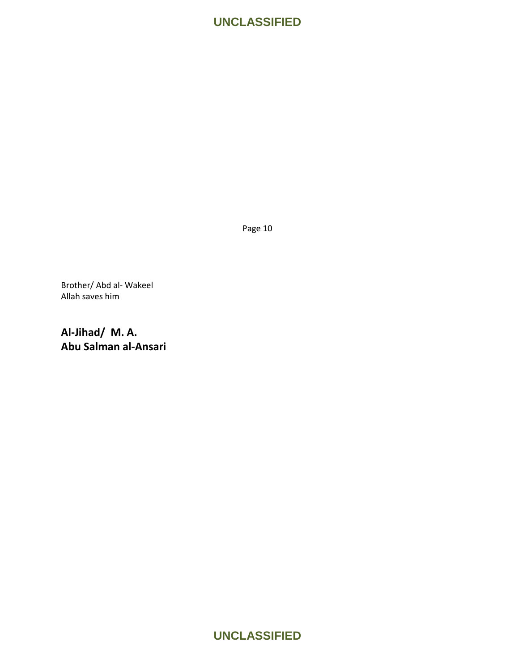Page 10

Brother/ Abd al- Wakeel Allah saves him

**Al-Jihad/ M. A. Abu Salman al-Ansari**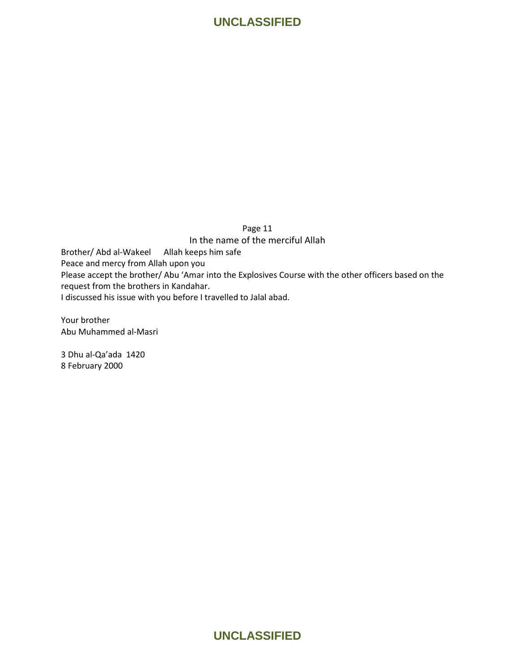#### Page 11

In the name of the merciful Allah

Brother/ Abd al-Wakeel Allah keeps him safe Peace and mercy from Allah upon you Please accept the brother/ Abu 'Amar into the Explosives Course with the other officers based on the request from the brothers in Kandahar. I discussed his issue with you before I travelled to Jalal abad.

Your brother Abu Muhammed al-Masri

3 Dhu al-Qa'ada 1420 8 February 2000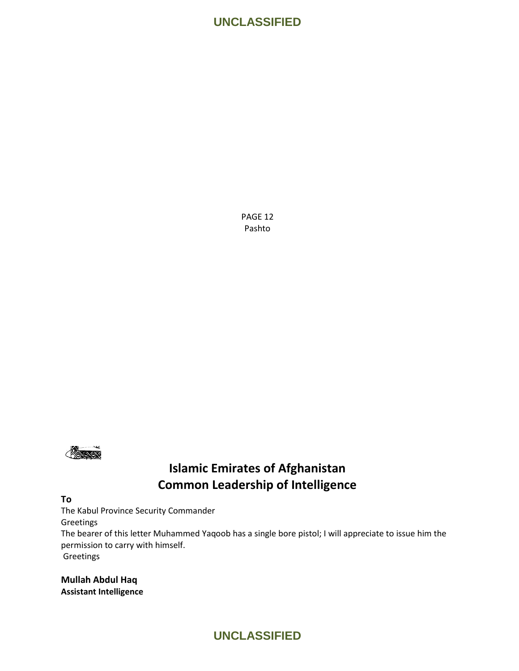PAGE 12 Pashto



# **Islamic Emirates of Afghanistan Common Leadership of Intelligence**

#### **To**

The Kabul Province Security Commander

Greetings

The bearer of this letter Muhammed Yaqoob has a single bore pistol; I will appreciate to issue him the permission to carry with himself.

Greetings

**Mullah Abdul Haq Assistant Intelligence**